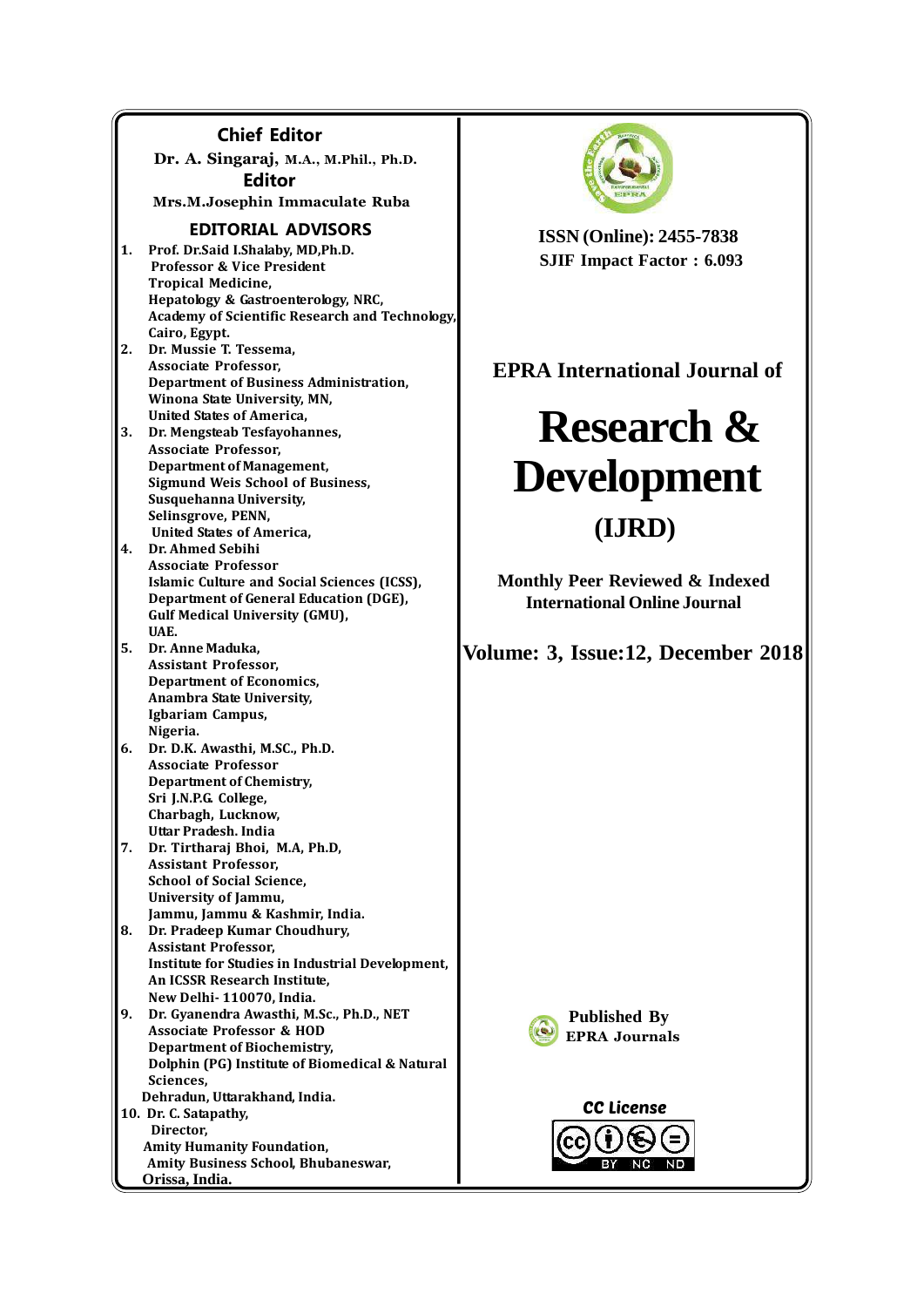#### **Chief Editor Dr. A. Singaraj, M.A., M.Phil., Ph.D. Editor Mrs.M.Josephin Immaculate Ruba EDITORIAL ADVISORS 1. Prof. Dr.Said I.Shalaby, MD,Ph.D. Professor & Vice President Tropical Medicine, Hepatology & Gastroenterology, NRC, Academy of Scientific Research and Technology, Cairo, Egypt. 2. Dr. Mussie T. Tessema, Associate Professor, Department of Business Administration, Winona State University, MN, United States of America, 3. Dr. Mengsteab Tesfayohannes, Associate Professor, Department of Management, Sigmund Weis School of Business, Susquehanna University, Selinsgrove, PENN, United States of America, 4. Dr. Ahmed Sebihi Associate Professor Islamic Culture and Social Sciences (ICSS), Department of General Education (DGE), Gulf Medical University (GMU), UAE. 5. Dr. Anne Maduka, Assistant Professor, Department of Economics, Anambra State University, Igbariam Campus, Nigeria. 6. Dr. D.K. Awasthi, M.SC., Ph.D. Associate Professor Department of Chemistry, Sri J.N.P.G. College, Charbagh, Lucknow, Uttar Pradesh. India 7. Dr. Tirtharaj Bhoi, M.A, Ph.D, Assistant Professor, School of Social Science, University of Jammu, Jammu, Jammu & Kashmir, India. 8. Dr. Pradeep Kumar Choudhury, Assistant Professor, Institute for Studies in Industrial Development, An ICSSR Research Institute, New Delhi- 110070, India. 9. Dr. Gyanendra Awasthi, M.Sc., Ph.D., NET Associate Professor & HOD Department of Biochemistry, Dolphin (PG) Institute of Biomedical & Natural Sciences, Dehradun, Uttarakhand, India. 10. Dr. C. Satapathy, Director, Amity Humanity Foundation, Amity Business School, Bhubaneswar, Orissa, India.**



**ISSN (Online): 2455-7838 SJIF Impact Factor : 6.093**

## **EPRA International Journal of**

# **Research & Development (IJRD)**

**Monthly Peer Reviewed & Indexed International Online Journal**

**Volume: 3, Issue:12, December 2018**



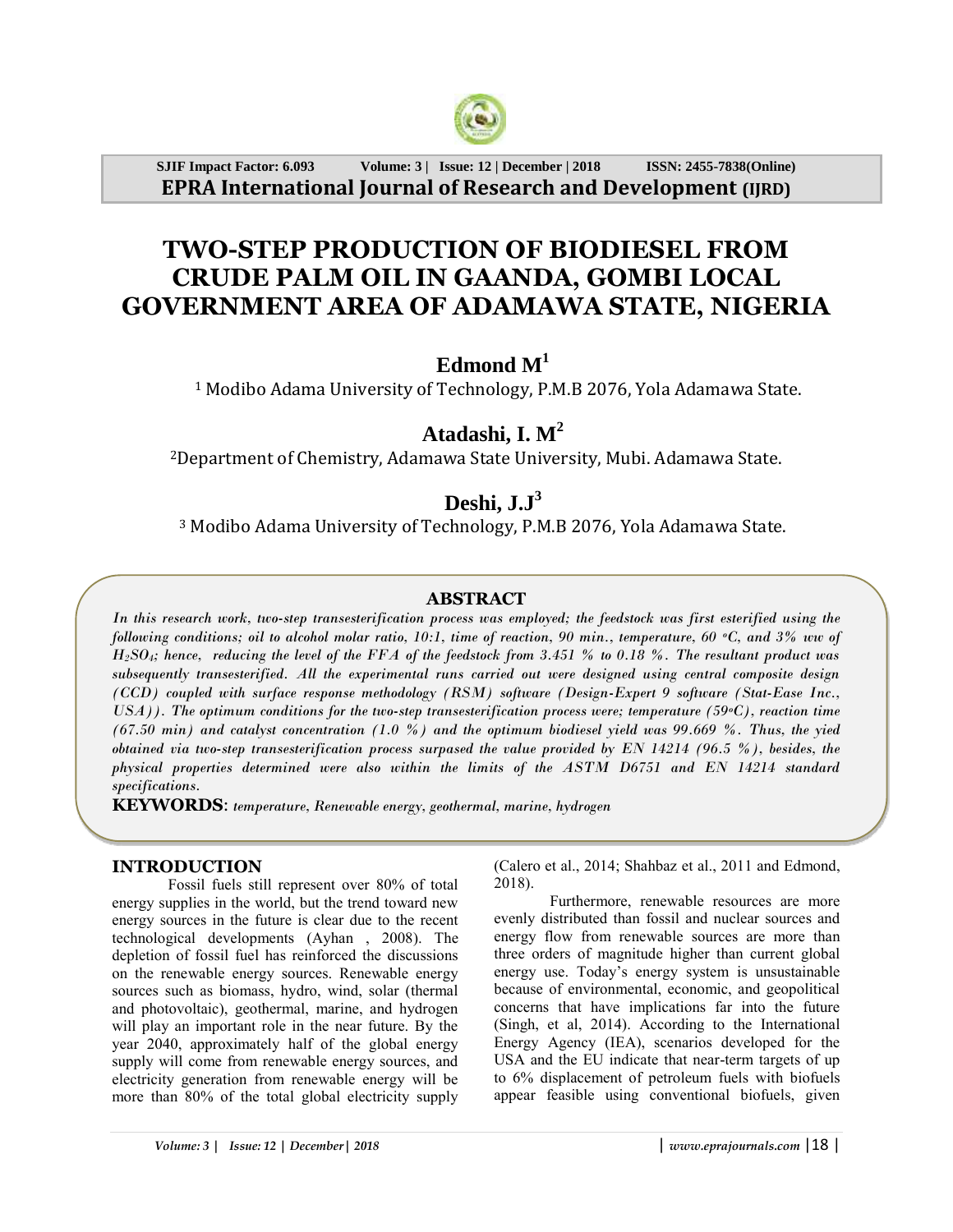

**SJIF Impact Factor: 6.093 Volume: 3 | Issue: 12 | December | 2018 ISSN: 2455-7838(Online) EPRA International Journal of Research and Development (IJRD)**

## **TWO-STEP PRODUCTION OF BIODIESEL FROM CRUDE PALM OIL IN GAANDA, GOMBI LOCAL GOVERNMENT AREA OF ADAMAWA STATE, NIGERIA**

### **Edmond M<sup>1</sup>**

<sup>1</sup> Modibo Adama University of Technology, P.M.B 2076, Yola Adamawa State.

## **Atadashi, I. M<sup>2</sup>**

<sup>2</sup>Department of Chemistry, Adamawa State University, Mubi. Adamawa State.

## **Deshi, J.J<sup>3</sup>**

<sup>3</sup> Modibo Adama University of Technology, P.M.B 2076, Yola Adamawa State.

#### **ABSTRACT**

*In this research work, two-step transesterification process was employed; the feedstock was first esterified using the following conditions; oil to alcohol molar ratio, 10:1, time of reaction, 90 min., temperature, 60 oC, and 3% ww of H2SO4; hence, reducing the level of the FFA of the feedstock from 3.451 % to 0.18 %. The resultant product was subsequently transesterified. All the experimental runs carried out were designed using central composite design (CCD) coupled with surface response methodology (RSM) software (Design-Expert 9 software (Stat-Ease Inc., USA)). The optimum conditions for the two-step transesterification process were; temperature (59oC), reaction time (67.50 min) and catalyst concentration (1.0 %) and the optimum biodiesel yield was 99.669 %. Thus, the yied obtained via two-step transesterification process surpased the value provided by EN 14214 (96.5 %), besides, the physical properties determined were also within the limits of the ASTM D6751 and EN 14214 standard specifications.* 

**KEYWORDS**: *temperature, Renewable energy, geothermal, marine, hydrogen*

#### **INTRODUCTION**

Fossil fuels still represent over 80% of total energy supplies in the world, but the trend toward new energy sources in the future is clear due to the recent technological developments (Ayhan , 2008). The depletion of fossil fuel has reinforced the discussions on the renewable energy sources. Renewable energy sources such as biomass, hydro, wind, solar (thermal and photovoltaic), geothermal, marine, and hydrogen will play an important role in the near future. By the year 2040, approximately half of the global energy supply will come from renewable energy sources, and electricity generation from renewable energy will be more than 80% of the total global electricity supply (Calero et al., 2014; Shahbaz et al., 2011 and Edmond, 2018).

Furthermore, renewable resources are more evenly distributed than fossil and nuclear sources and energy flow from renewable sources are more than three orders of magnitude higher than current global energy use. Today's energy system is unsustainable because of environmental, economic, and geopolitical concerns that have implications far into the future (Singh, et al, 2014). According to the International Energy Agency (IEA), scenarios developed for the USA and the EU indicate that near-term targets of up to 6% displacement of petroleum fuels with biofuels appear feasible using conventional biofuels, given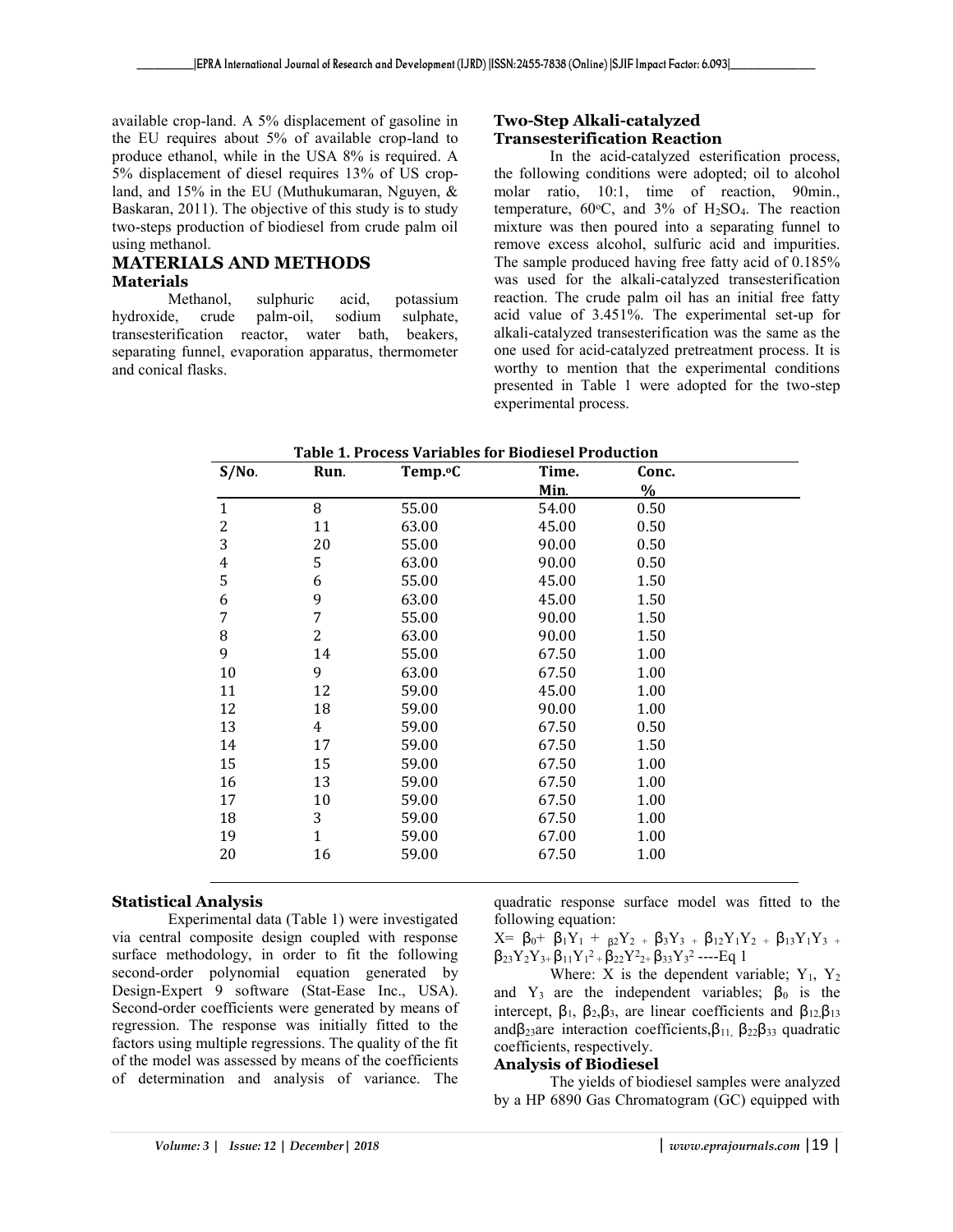available crop-land. A 5% displacement of gasoline in the EU requires about 5% of available crop-land to produce ethanol, while in the USA 8% is required. A 5% displacement of diesel requires 13% of US cropland, and 15% in the EU (Muthukumaran, Nguyen, & Baskaran, 2011). The objective of this study is to study two-steps production of biodiesel from crude palm oil using methanol.

#### **MATERIALS AND METHODS Materials**

Methanol, sulphuric acid, potassium hydroxide, crude palm-oil, sodium sulphate, transesterification reactor, water bath, beakers, separating funnel, evaporation apparatus, thermometer and conical flasks.

#### **Two-Step Alkali-catalyzed Transesterification Reaction**

In the acid-catalyzed esterification process, the following conditions were adopted; oil to alcohol molar ratio, 10:1, time of reaction, 90min., temperature,  $60^{\circ}$ C, and  $3\%$  of H<sub>2</sub>SO<sub>4</sub>. The reaction mixture was then poured into a separating funnel to remove excess alcohol, sulfuric acid and impurities. The sample produced having free fatty acid of 0.185% was used for the alkali-catalyzed transesterification reaction. The crude palm oil has an initial free fatty acid value of 3.451%. The experimental set-up for alkali-catalyzed transesterification was the same as the one used for acid-catalyzed pretreatment process. It is worthy to mention that the experimental conditions presented in Table 1 were adopted for the two-step experimental process.

| <b>Table 1. Process Variables for Biodiesel Production</b> |                      |       |               |  |  |
|------------------------------------------------------------|----------------------|-------|---------------|--|--|
| Run.                                                       | Temp. <sup>o</sup> C | Time. | Conc.         |  |  |
|                                                            |                      | Min.  | $\frac{0}{0}$ |  |  |
| 8                                                          | 55.00                | 54.00 | 0.50          |  |  |
| 11                                                         | 63.00                | 45.00 | 0.50          |  |  |
| 20                                                         | 55.00                | 90.00 | 0.50          |  |  |
| 5                                                          | 63.00                | 90.00 | 0.50          |  |  |
| 6                                                          | 55.00                | 45.00 | 1.50          |  |  |
| 9                                                          | 63.00                | 45.00 | 1.50          |  |  |
| 7                                                          | 55.00                | 90.00 | 1.50          |  |  |
| $\overline{2}$                                             | 63.00                | 90.00 | 1.50          |  |  |
| 14                                                         | 55.00                | 67.50 | 1.00          |  |  |
| 9                                                          | 63.00                | 67.50 | 1.00          |  |  |
| 12                                                         | 59.00                | 45.00 | 1.00          |  |  |
| 18                                                         | 59.00                | 90.00 | 1.00          |  |  |
| 4                                                          | 59.00                | 67.50 | 0.50          |  |  |
| 17                                                         | 59.00                | 67.50 | 1.50          |  |  |
| 15                                                         | 59.00                | 67.50 | 1.00          |  |  |
| 13                                                         | 59.00                | 67.50 | 1.00          |  |  |
| 10                                                         | 59.00                | 67.50 | 1.00          |  |  |
| 3                                                          | 59.00                | 67.50 | 1.00          |  |  |
| $\mathbf{1}$                                               | 59.00                | 67.00 | 1.00          |  |  |
| 16                                                         | 59.00                | 67.50 | 1.00          |  |  |
|                                                            |                      |       |               |  |  |

#### **Statistical Analysis**

Experimental data (Table 1) were investigated via central composite design coupled with response surface methodology, in order to fit the following second-order polynomial equation generated by Design-Expert 9 software (Stat-Ease Inc., USA). Second-order coefficients were generated by means of regression. The response was initially fitted to the factors using multiple regressions. The quality of the fit of the model was assessed by means of the coefficients of determination and analysis of variance. The

quadratic response surface model was fitted to the following equation:

 $X=$  β<sub>0</sub>+ β<sub>1</sub>Y<sub>1</sub> + <sub>β2</sub>Y<sub>2</sub> + β<sub>3</sub>Y<sub>3</sub> + β<sub>12</sub>Y<sub>1</sub>Y<sub>2</sub> + β<sub>13</sub>Y<sub>1</sub>Y<sub>3</sub> +  $\beta_{23}Y_2Y_{3+}\beta_{11}Y_1^2 + \beta_{22}Y_{2+}\beta_{33}Y_3^2$  ----Eq 1

Where: X is the dependent variable;  $Y_1$ ,  $Y_2$ and  $Y_3$  are the independent variables;  $\beta_0$  is the intercept,  $\beta_1$ ,  $\beta_2$ ,  $\beta_3$ , are linear coefficients and  $\beta_{12}$ ,  $\beta_{13}$ andβ<sub>23</sub>are interaction coefficients, $β_{11}$ ,  $β_{22}β_{33}$  quadratic coefficients, respectively.

#### **Analysis of Biodiesel**

The yields of biodiesel samples were analyzed by a HP 6890 Gas Chromatogram (GC) equipped with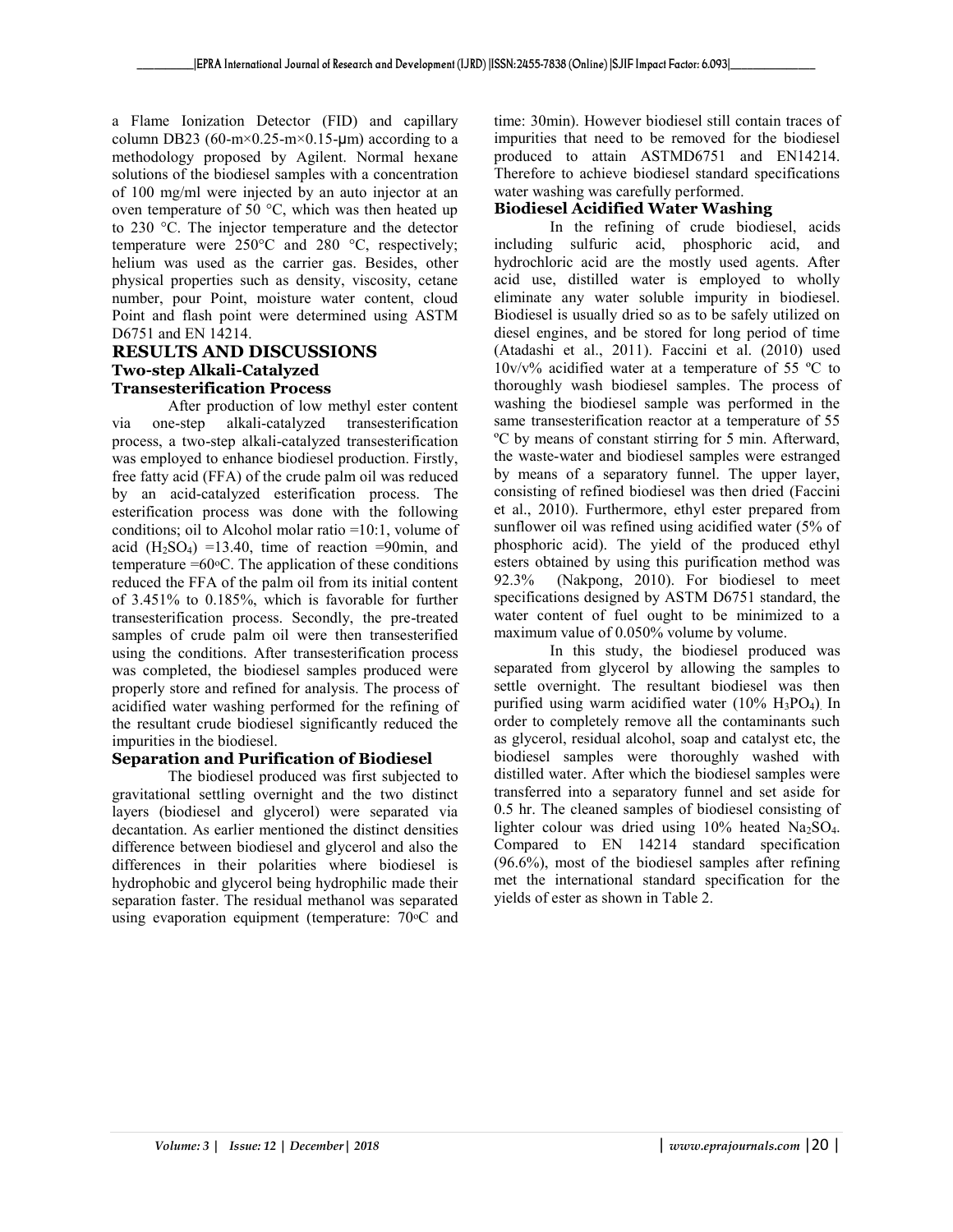a Flame Ionization Detector (FID) and capillary column DB23 (60-m×0.25-m×0.15-um) according to a methodology proposed by Agilent. Normal hexane solutions of the biodiesel samples with a concentration of 100 mg/ml were injected by an auto injector at an oven temperature of 50 °C, which was then heated up to 230 °C. The injector temperature and the detector temperature were 250°C and 280 °C, respectively; helium was used as the carrier gas. Besides, other physical properties such as density, viscosity, cetane number, pour Point, moisture water content, cloud Point and flash point were determined using ASTM D6751 and EN 14214.

#### **RESULTS AND DISCUSSIONS Two-step Alkali-Catalyzed Transesterification Process**

After production of low methyl ester content via one-step alkali-catalyzed transesterification process, a two-step alkali-catalyzed transesterification was employed to enhance biodiesel production. Firstly, free fatty acid (FFA) of the crude palm oil was reduced by an acid-catalyzed esterification process. The esterification process was done with the following conditions; oil to Alcohol molar ratio =10:1, volume of acid  $(H<sub>2</sub>SO<sub>4</sub>) =13.40$ , time of reaction =90min, and temperature  $=60^{\circ}$ C. The application of these conditions reduced the FFA of the palm oil from its initial content of 3.451% to 0.185%, which is favorable for further transesterification process. Secondly, the pre-treated samples of crude palm oil were then transesterified using the conditions. After transesterification process was completed, the biodiesel samples produced were properly store and refined for analysis. The process of acidified water washing performed for the refining of the resultant crude biodiesel significantly reduced the impurities in the biodiesel.

#### **Separation and Purification of Biodiesel**

The biodiesel produced was first subjected to gravitational settling overnight and the two distinct layers (biodiesel and glycerol) were separated via decantation. As earlier mentioned the distinct densities difference between biodiesel and glycerol and also the differences in their polarities where biodiesel is hydrophobic and glycerol being hydrophilic made their separation faster. The residual methanol was separated using evaporation equipment (temperature: 70 °C and

time: 30min). However biodiesel still contain traces of impurities that need to be removed for the biodiesel produced to attain ASTMD6751 and EN14214. Therefore to achieve biodiesel standard specifications water washing was carefully performed.

#### **Biodiesel Acidified Water Washing**

In the refining of crude biodiesel, acids including sulfuric acid, phosphoric acid, and hydrochloric acid are the mostly used agents. After acid use, distilled water is employed to wholly eliminate any water soluble impurity in biodiesel. Biodiesel is usually dried so as to be safely utilized on diesel engines, and be stored for long period of time (Atadashi et al., 2011). Faccini et al. (2010) used  $10v/v\%$  acidified water at a temperature of 55 °C to thoroughly wash biodiesel samples. The process of washing the biodiesel sample was performed in the same transesterification reactor at a temperature of 55 ºC by means of constant stirring for 5 min. Afterward, the waste-water and biodiesel samples were estranged by means of a separatory funnel. The upper layer, consisting of refined biodiesel was then dried (Faccini et al., 2010). Furthermore, ethyl ester prepared from sunflower oil was refined using acidified water (5% of phosphoric acid). The yield of the produced ethyl esters obtained by using this purification method was 92.3% (Nakpong, 2010). For biodiesel to meet specifications designed by ASTM D6751 standard, the water content of fuel ought to be minimized to a maximum value of 0.050% volume by volume.

In this study, the biodiesel produced was separated from glycerol by allowing the samples to settle overnight. The resultant biodiesel was then purified using warm acidified water  $(10\% \text{ H}_3\text{PO}_4)$ . In order to completely remove all the contaminants such as glycerol, residual alcohol, soap and catalyst etc, the biodiesel samples were thoroughly washed with distilled water. After which the biodiesel samples were transferred into a separatory funnel and set aside for 0.5 hr. The cleaned samples of biodiesel consisting of lighter colour was dried using 10% heated Na<sub>2</sub>SO<sub>4</sub>. Compared to EN 14214 standard specification (96.6%), most of the biodiesel samples after refining met the international standard specification for the yields of ester as shown in Table 2.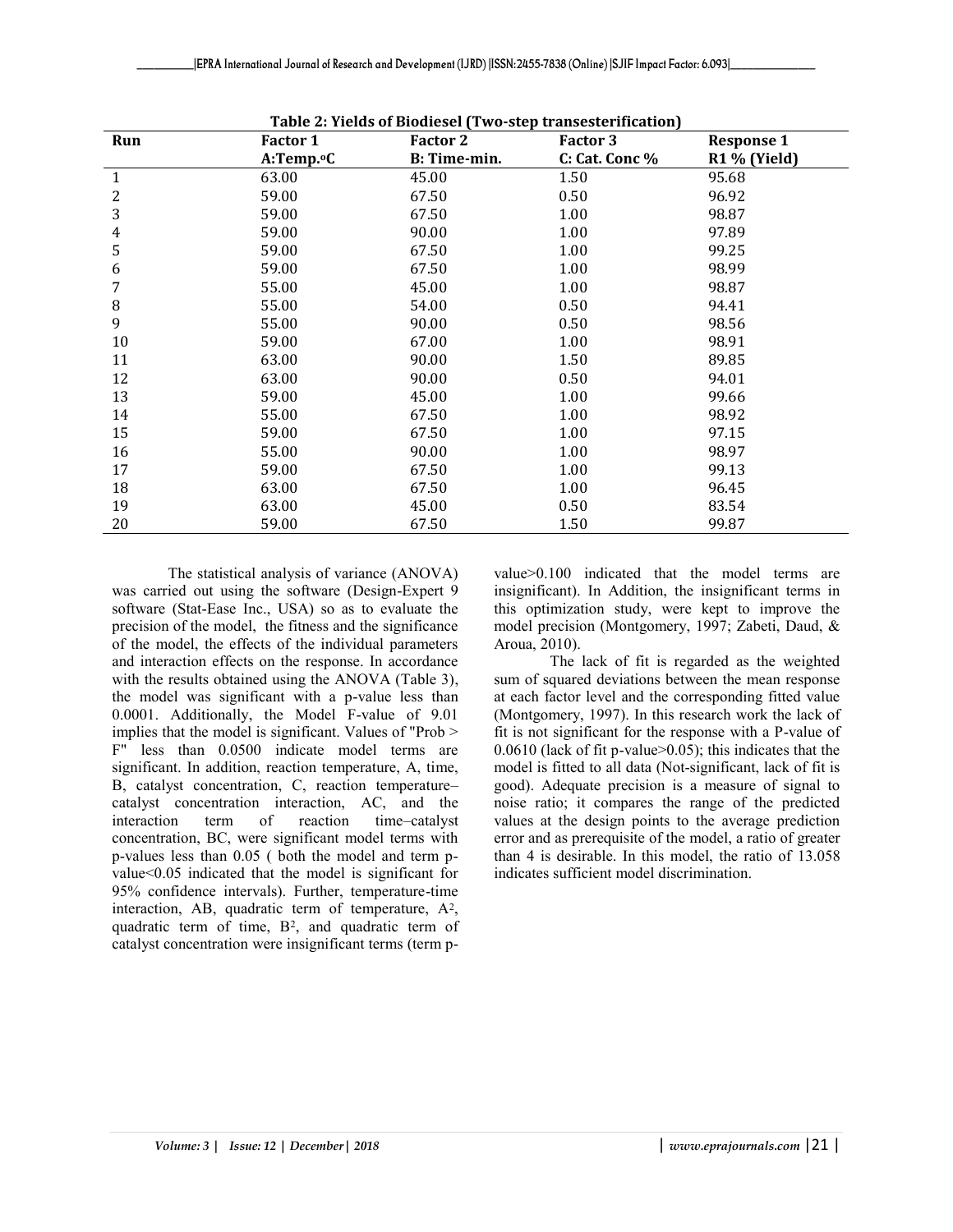| Run | Factor 1               | Table 2. Tiens of Blouresel (Two-step transestermeation)<br><b>Factor 2</b> | Factor 3       | <b>Response 1</b> |
|-----|------------------------|-----------------------------------------------------------------------------|----------------|-------------------|
|     | A:Temp. <sup>o</sup> C | B: Time-min.                                                                | C: Cat. Conc % | R1 % (Yield)      |
| 1   | 63.00                  | 45.00                                                                       | 1.50           | 95.68             |
| 2   | 59.00                  | 67.50                                                                       | 0.50           | 96.92             |
| 3   | 59.00                  | 67.50                                                                       | 1.00           | 98.87             |
| 4   | 59.00                  | 90.00                                                                       | 1.00           | 97.89             |
| 5   | 59.00                  | 67.50                                                                       | 1.00           | 99.25             |
| 6   | 59.00                  | 67.50                                                                       | 1.00           | 98.99             |
| 7   | 55.00                  | 45.00                                                                       | 1.00           | 98.87             |
| 8   | 55.00                  | 54.00                                                                       | 0.50           | 94.41             |
| 9   | 55.00                  | 90.00                                                                       | 0.50           | 98.56             |
| 10  | 59.00                  | 67.00                                                                       | 1.00           | 98.91             |
| 11  | 63.00                  | 90.00                                                                       | 1.50           | 89.85             |
| 12  | 63.00                  | 90.00                                                                       | 0.50           | 94.01             |
| 13  | 59.00                  | 45.00                                                                       | 1.00           | 99.66             |
| 14  | 55.00                  | 67.50                                                                       | 1.00           | 98.92             |
| 15  | 59.00                  | 67.50                                                                       | 1.00           | 97.15             |
| 16  | 55.00                  | 90.00                                                                       | 1.00           | 98.97             |
| 17  | 59.00                  | 67.50                                                                       | 1.00           | 99.13             |
| 18  | 63.00                  | 67.50                                                                       | 1.00           | 96.45             |
| 19  | 63.00                  | 45.00                                                                       | 0.50           | 83.54             |
| 20  | 59.00                  | 67.50                                                                       | 1.50           | 99.87             |

**Table 2: Yields of Biodiesel (Two-step transesterification)**

The statistical analysis of variance (ANOVA) was carried out using the software (Design-Expert 9 software (Stat-Ease Inc., USA) so as to evaluate the precision of the model, the fitness and the significance of the model, the effects of the individual parameters and interaction effects on the response. In accordance with the results obtained using the ANOVA (Table 3), the model was significant with a p-value less than 0.0001. Additionally, the Model F-value of 9.01 implies that the model is significant. Values of "Prob > F" less than 0.0500 indicate model terms are significant. In addition, reaction temperature, A, time, B, catalyst concentration, C, reaction temperature– catalyst concentration interaction, AC, and the interaction term of reaction time–catalyst concentration, BC, were significant model terms with p-values less than 0.05 ( both the model and term pvalue<0.05 indicated that the model is significant for 95% confidence intervals). Further, temperature-time interaction, AB, quadratic term of temperature, A<sup>2</sup>, quadratic term of time, B<sup>2</sup> , and quadratic term of catalyst concentration were insignificant terms (term pvalue>0.100 indicated that the model terms are insignificant). In Addition, the insignificant terms in this optimization study, were kept to improve the model precision (Montgomery, 1997; Zabeti, Daud, & Aroua, 2010).

The lack of fit is regarded as the weighted sum of squared deviations between the mean response at each factor level and the corresponding fitted value (Montgomery, 1997). In this research work the lack of fit is not significant for the response with a P-value of 0.0610 (lack of fit p-value>0.05); this indicates that the model is fitted to all data (Not-significant, lack of fit is good). Adequate precision is a measure of signal to noise ratio; it compares the range of the predicted values at the design points to the average prediction error and as prerequisite of the model, a ratio of greater than 4 is desirable. In this model, the ratio of 13.058 indicates sufficient model discrimination.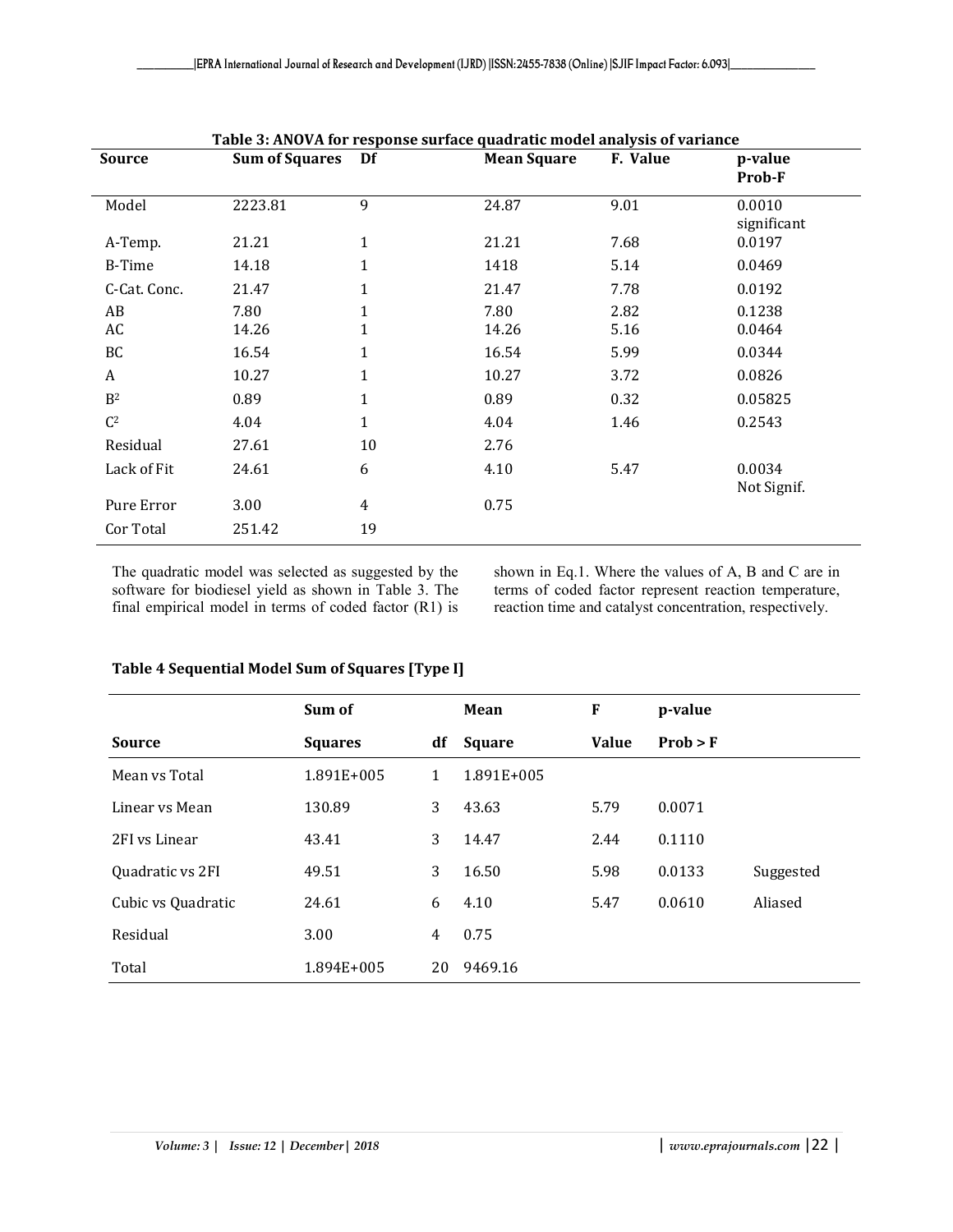| <b>Source</b>  | <b>Sum of Squares</b> | Df           | <b>Mean Square</b> | F. Value | p-value<br>Prob-F     |
|----------------|-----------------------|--------------|--------------------|----------|-----------------------|
| Model          | 2223.81               | 9            | 24.87              | 9.01     | 0.0010<br>significant |
| A-Temp.        | 21.21                 | $\mathbf{1}$ | 21.21              | 7.68     | 0.0197                |
| B-Time         | 14.18                 | 1            | 1418               | 5.14     | 0.0469                |
| C-Cat. Conc.   | 21.47                 | 1            | 21.47              | 7.78     | 0.0192                |
| AB             | 7.80                  | 1            | 7.80               | 2.82     | 0.1238                |
| AC             | 14.26                 | 1            | 14.26              | 5.16     | 0.0464                |
| BC             | 16.54                 | $\mathbf{1}$ | 16.54              | 5.99     | 0.0344                |
| A              | 10.27                 | $\mathbf{1}$ | 10.27              | 3.72     | 0.0826                |
| B <sup>2</sup> | 0.89                  | $\mathbf{1}$ | 0.89               | 0.32     | 0.05825               |
| C <sup>2</sup> | 4.04                  | $\mathbf 1$  | 4.04               | 1.46     | 0.2543                |
| Residual       | 27.61                 | 10           | 2.76               |          |                       |
| Lack of Fit    | 24.61                 | 6            | 4.10               | 5.47     | 0.0034<br>Not Signif. |
| Pure Error     | 3.00                  | 4            | 0.75               |          |                       |
| Cor Total      | 251.42                | 19           |                    |          |                       |

**Table 3: ANOVA for response surface quadratic model analysis of variance**

The quadratic model was selected as suggested by the software for biodiesel yield as shown in Table 3. The final empirical model in terms of coded factor (R1) is shown in Eq.1. Where the values of A, B and C are in terms of coded factor represent reaction temperature, reaction time and catalyst concentration, respectively.

#### **Table 4 Sequential Model Sum of Squares [Type I]**

|                    | Sum of         |    | Mean          | F            | p-value  |           |
|--------------------|----------------|----|---------------|--------------|----------|-----------|
| <b>Source</b>      | <b>Squares</b> | df | <b>Square</b> | <b>Value</b> | Prob > F |           |
| Mean vs Total      | 1.891E+005     | 1  | 1.891E+005    |              |          |           |
| Linear vs Mean     | 130.89         | 3  | 43.63         | 5.79         | 0.0071   |           |
| 2FI vs Linear      | 43.41          | 3  | 14.47         | 2.44         | 0.1110   |           |
| Quadratic vs 2FI   | 49.51          | 3  | 16.50         | 5.98         | 0.0133   | Suggested |
| Cubic vs Quadratic | 24.61          | 6  | 4.10          | 5.47         | 0.0610   | Aliased   |
| Residual           | 3.00           | 4  | 0.75          |              |          |           |
| Total              | 1.894E+005     | 20 | 9469.16       |              |          |           |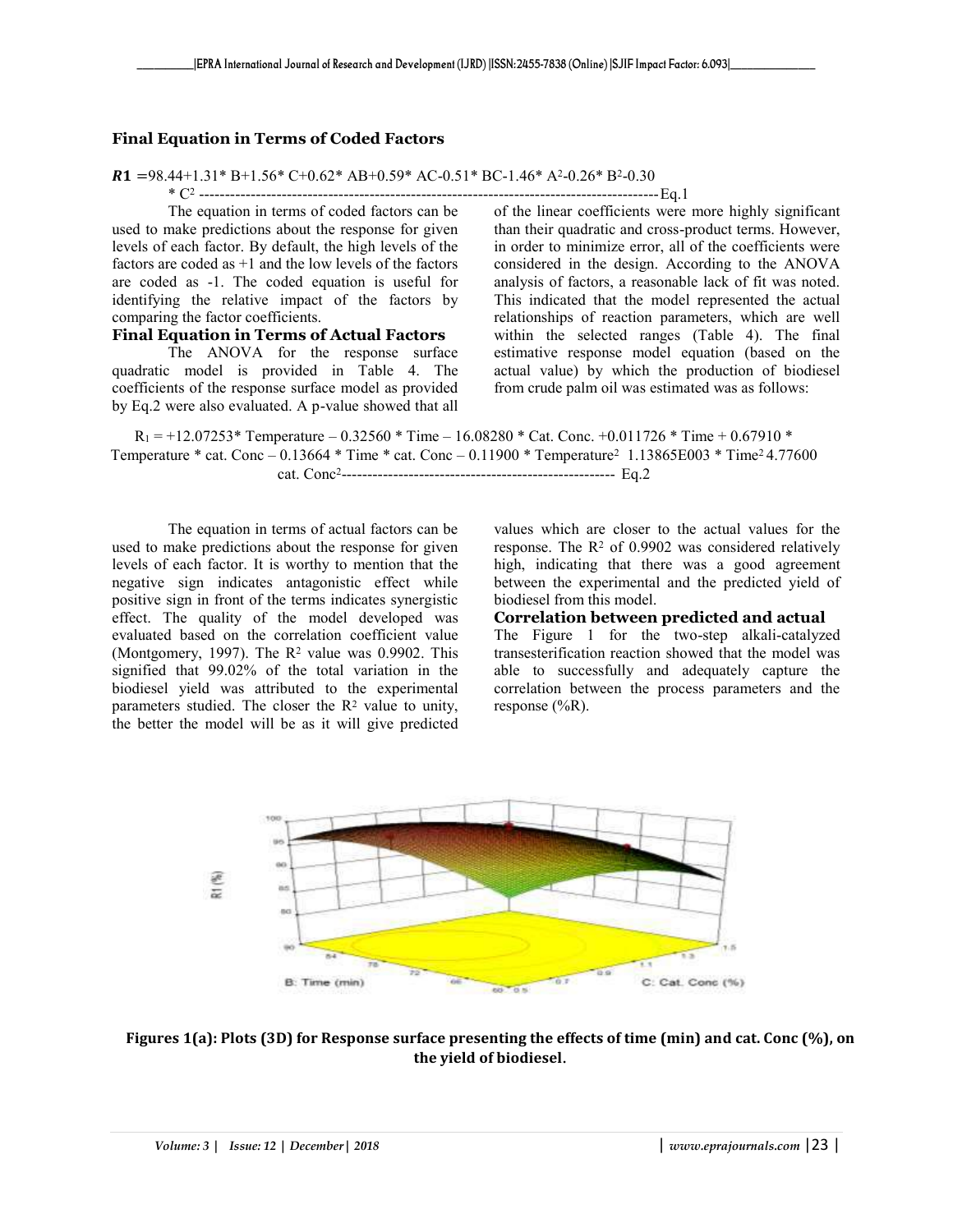#### **Final Equation in Terms of Coded Factors**

#### $R1 = 98.44 + 1.31* B + 1.56* C + 0.62* AB + 0.59* AC - 0.51* BC - 1.46* A - 0.26* B - 0.30$

\* C<sup>2</sup> -----------------------------------------------------------------------------------------Eq.1

The equation in terms of coded factors can be used to make predictions about the response for given levels of each factor. By default, the high levels of the factors are coded as +1 and the low levels of the factors are coded as -1. The coded equation is useful for identifying the relative impact of the factors by comparing the factor coefficients.

#### **Final Equation in Terms of Actual Factors**

The ANOVA for the response surface quadratic model is provided in Table 4. The coefficients of the response surface model as provided by Eq.2 were also evaluated. A p-value showed that all of the linear coefficients were more highly significant than their quadratic and cross-product terms. However, in order to minimize error, all of the coefficients were considered in the design. According to the ANOVA analysis of factors, a reasonable lack of fit was noted. This indicated that the model represented the actual relationships of reaction parameters, which are well within the selected ranges (Table 4). The final estimative response model equation (based on the actual value) by which the production of biodiesel from crude palm oil was estimated was as follows:

 $R_1 = +12.07253*$  Temperature – 0.32560 \* Time – 16.08280 \* Cat. Conc. +0.011726 \* Time + 0.67910 \* Temperature \* cat. Conc – 0.13664 \* Time \* cat. Conc – 0.11900 \* Temperature<sup>2</sup> 1.13865E003 \* Time2 4.77600 cat. Conc<sup>2</sup> ----------------------------------------------------- Eq.2

The equation in terms of actual factors can be used to make predictions about the response for given levels of each factor. It is worthy to mention that the negative sign indicates antagonistic effect while positive sign in front of the terms indicates synergistic effect. The quality of the model developed was evaluated based on the correlation coefficient value (Montgomery, 1997). The  $R^2$  value was 0.9902. This signified that 99.02% of the total variation in the biodiesel yield was attributed to the experimental parameters studied. The closer the  $\mathbb{R}^2$  value to unity, the better the model will be as it will give predicted

values which are closer to the actual values for the response. The  $R<sup>2</sup>$  of 0.9902 was considered relatively high, indicating that there was a good agreement between the experimental and the predicted yield of biodiesel from this model.

#### **Correlation between predicted and actual**

The Figure 1 for the two-step alkali-catalyzed transesterification reaction showed that the model was able to successfully and adequately capture the correlation between the process parameters and the response  $(\%R)$ .



**Figures 1(a): Plots (3D) for Response surface presenting the effects of time (min) and cat. Conc (%), on the yield of biodiesel**.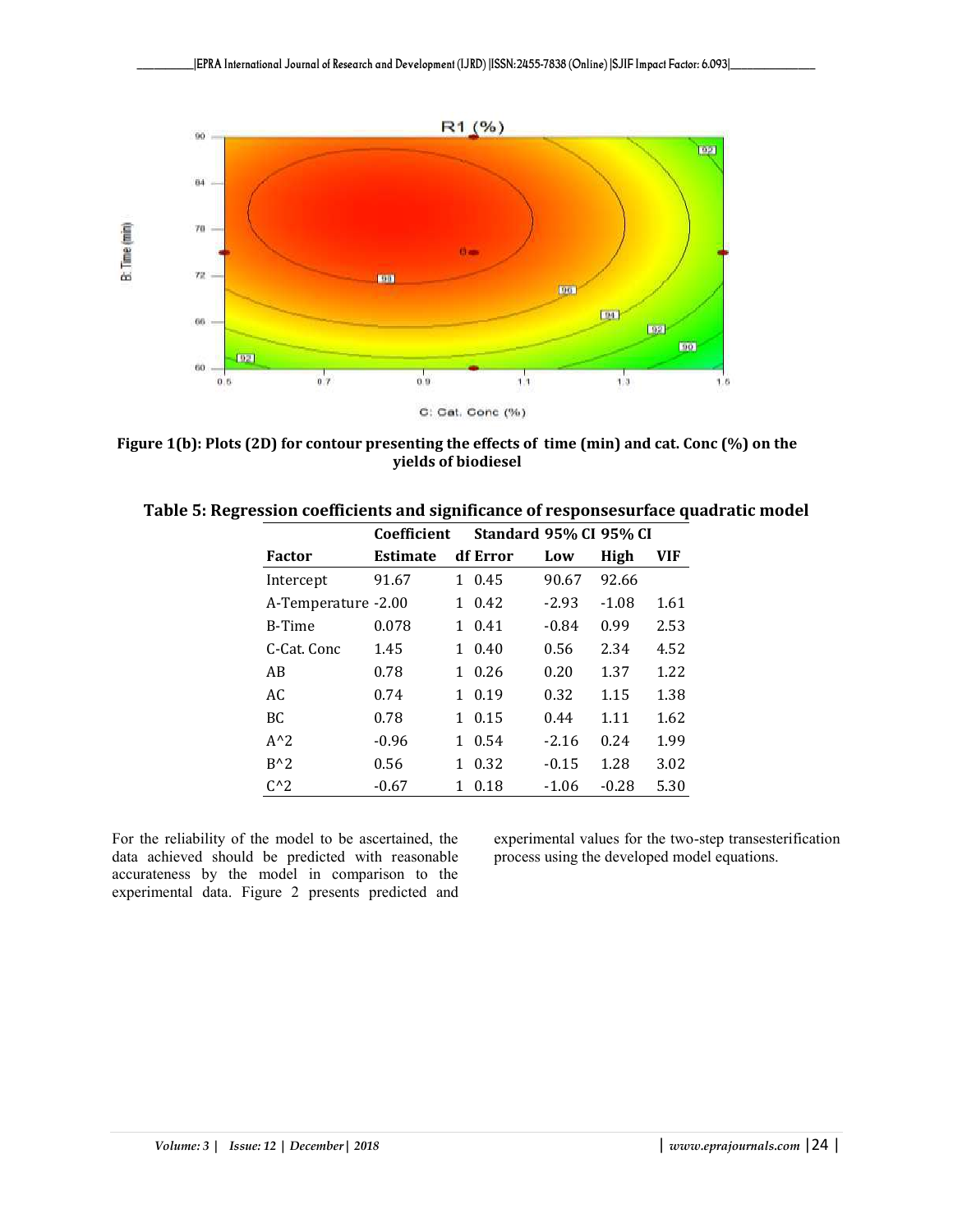

**Figure 1(b): Plots (2D) for contour presenting the effects of time (min) and cat. Conc (%) on the yields of biodiesel**

| Table 5: Regression coefficients and significance of responsesurface quadratic model |                                    |  |  |  |  |
|--------------------------------------------------------------------------------------|------------------------------------|--|--|--|--|
|                                                                                      | Coefficient Standard 95% CI 95% CI |  |  |  |  |

| <b>Factor</b>       | <b>Estimate</b> |    | df Error   | Low     | High    | VIF  |
|---------------------|-----------------|----|------------|---------|---------|------|
| Intercept           | 91.67           | 1. | 0.45       | 90.67   | 92.66   |      |
| A-Temperature -2.00 |                 | 1  | 0.42       | $-2.93$ | $-1.08$ | 1.61 |
| B-Time              | 0.078           | 1  | 0.41       | $-0.84$ | 0.99    | 2.53 |
| C-Cat. Conc         | 1.45            | 1  | 0.40       | 0.56    | 2.34    | 4.52 |
| AB                  | 0.78            | 1. | 0.26       | 0.20    | 1.37    | 1.22 |
| AC                  | 0.74            | 1. | 0.19       | 0.32    | 1.15    | 1.38 |
| BC                  | 0.78            | 1  | 0.15       | 0.44    | 1.11    | 1.62 |
| $A^2$               | $-0.96$         |    | $1 \t0.54$ | $-2.16$ | 0.24    | 1.99 |
| $B^{\wedge}2$       | 0.56            | 1  | 0.32       | $-0.15$ | 1.28    | 3.02 |
| $C^{\wedge}2$       | $-0.67$         | 1  | 0.18       | $-1.06$ | $-0.28$ | 5.30 |

For the reliability of the model to be ascertained, the data achieved should be predicted with reasonable accurateness by the model in comparison to the experimental data. Figure 2 presents predicted and

experimental values for the two-step transesterification process using the developed model equations.